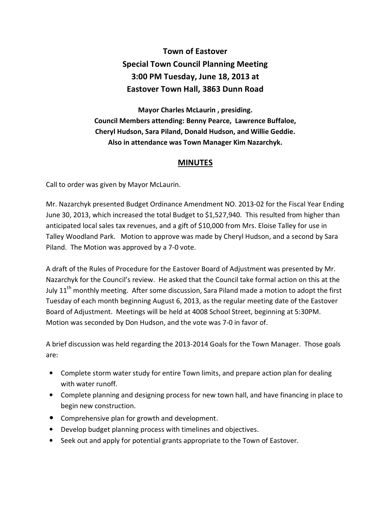## **Town of Eastover Special Town Council Planning Meeting 3:00 PM Tuesday, June 18, 2013 at Eastover Town Hall, 3863 Dunn Road**

**Mayor Charles McLaurin , presiding. Council Members attending: Benny Pearce, Lawrence Buffaloe, Cheryl Hudson, Sara Piland, Donald Hudson, and Willie Geddie. Also in attendance was Town Manager Kim Nazarchyk.** 

## **MINUTES**

Call to order was given by Mayor McLaurin.

Mr. Nazarchyk presented Budget Ordinance Amendment NO. 2013-02 for the Fiscal Year Ending June 30, 2013, which increased the total Budget to \$1,527,940. This resulted from higher than anticipated local sales tax revenues, and a gift of \$10,000 from Mrs. Eloise Talley for use in Talley Woodland Park. Motion to approve was made by Cheryl Hudson, and a second by Sara Piland. The Motion was approved by a 7-0 vote.

A draft of the Rules of Procedure for the Eastover Board of Adjustment was presented by Mr. Nazarchyk for the Council's review. He asked that the Council take formal action on this at the July 11<sup>th</sup> monthly meeting. After some discussion, Sara Piland made a motion to adopt the first Tuesday of each month beginning August 6, 2013, as the regular meeting date of the Eastover Board of Adjustment. Meetings will be held at 4008 School Street, beginning at 5:30PM. Motion was seconded by Don Hudson, and the vote was 7-0 in favor of.

A brief discussion was held regarding the 2013-2014 Goals for the Town Manager. Those goals are:

- Complete storm water study for entire Town limits, and prepare action plan for dealing with water runoff.
- Complete planning and designing process for new town hall, and have financing in place to begin new construction.
- Comprehensive plan for growth and development.
- Develop budget planning process with timelines and objectives.
- Seek out and apply for potential grants appropriate to the Town of Eastover.